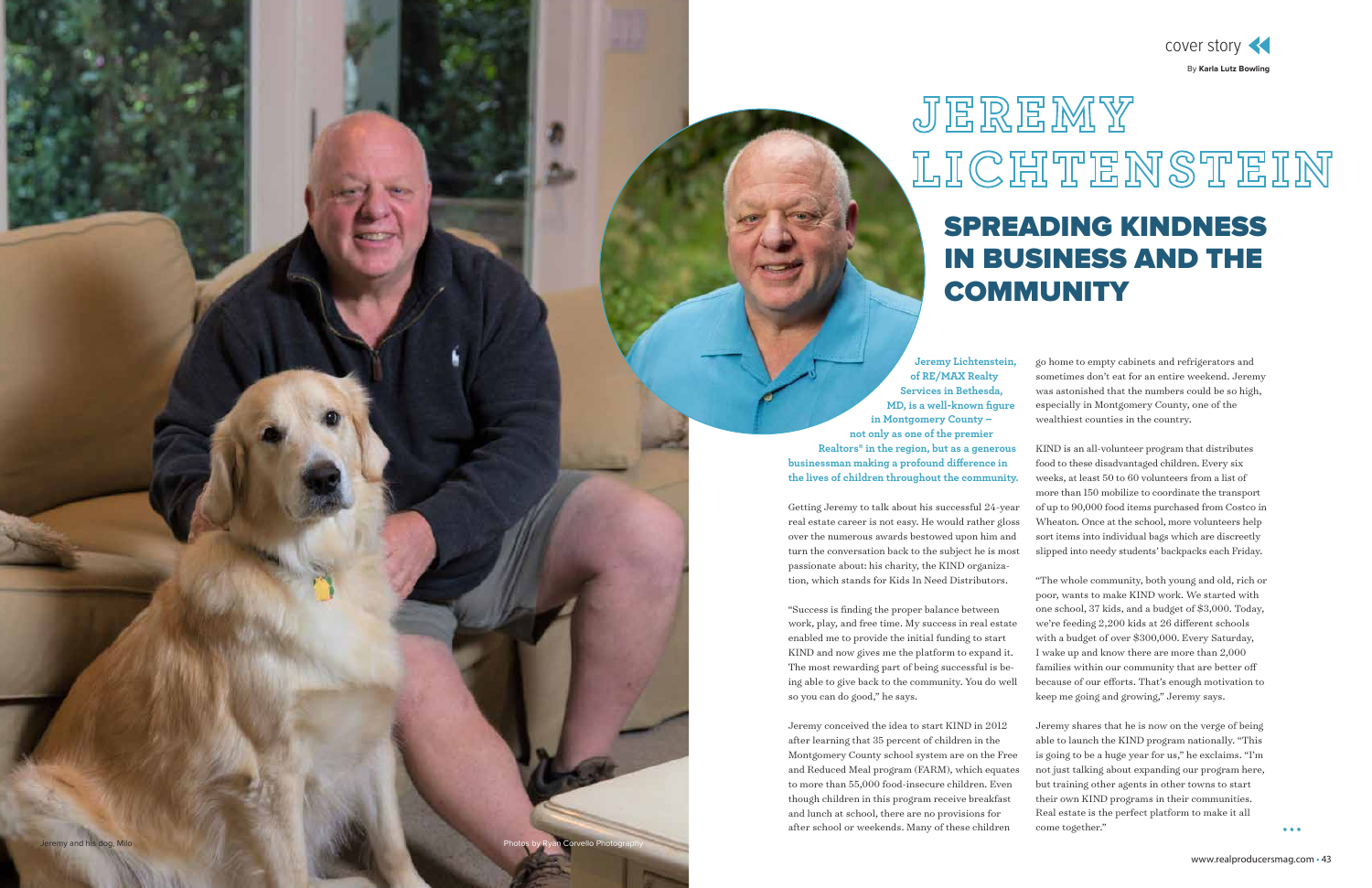**Jeremy Lichtenstei of RE/MAX Realty Services in Bethesda, MD, is a well-known figure in Montgomery County – not only as one of the premier Realtors® in the region, but as a generous businessman making a profound difference in the lives of children throughout the community.**

Getting Jeremy to talk about his successful 24-year real estate career is not easy. He would rather gloss over the numerous awards bestowed upon him and turn the conversation back to the subject he is most passionate about: his charity, the KIND organization, which stands for Kids In Need Distributors.

"Success is finding the proper balance between work, play, and free time. My success in real estate enabled me to provide the initial funding to start KIND and now gives me the platform to expand it. The most rewarding part of being successful is being able to give back to the community. You do well so you can do good," he says.

Jeremy conceived the idea to start KIND in 2012 after learning that 35 percent of children in the Montgomery County school system are on the Free and Reduced Meal program (FARM), which equates to more than 55,000 food-insecure children. Even though children in this program receive breakfast and lunch at school, there are no provisions for after school or weekends. Many of these children

# SPREADING KINDNESS IN BUSINESS AND THE **COMMUNITY**

| I |   |   |  |
|---|---|---|--|
|   | × | ٢ |  |
|   |   |   |  |
|   |   |   |  |

go home to empty cabinets and refrigerators and sometimes don't eat for an entire weekend. Jeremy was astonished that the numbers could be so high, especially in Montgomery County, one of the wealthiest counties in the country.

KIND is an all-volunteer program that distributes food to these disadvantaged children. Every six weeks, at least 50 to 60 volunteers from a list of more than 150 mobilize to coordinate the transport of up to 90,000 food items purchased from Costco in Wheaton. Once at the school, more volunteers help sort items into individual bags which are discreetly slipped into needy students' backpacks each Friday.

"The whole community, both young and old, rich or poor, wants to make KIND work. We started with one school, 37 kids, and a budget of \$3,000. Today, we're feeding 2,200 kids at 26 different schools with a budget of over \$300,000. Every Saturday, I wake up and know there are more than 2,000 families within our community that are better off because of our efforts. That's enough motivation to keep me going and growing," Jeremy says.

Jeremy shares that he is now on the verge of being able to launch the KIND program nationally. "This is going to be a huge year for us," he exclaims. "I'm not just talking about expanding our program here, but training other agents in other towns to start their own KIND programs in their communities. Real estate is the perfect platform to make it all come together."

 $\bullet\bullet\bullet$ 



By **Karla Lutz Bowling** 

# JEREMY LICHTENSTEIN